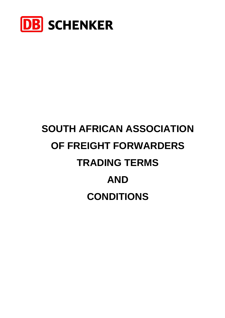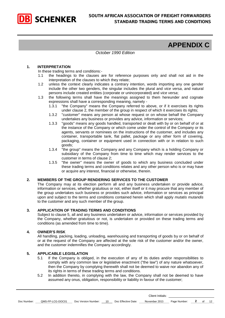

# **APPENDIX C**

#### *October 1990 Edition*

#### **1. INTERPRETATION**

In these trading terms and conditions:-

- 1.1 the headings to the clauses are for reference purposes only and shall not aid in the interpretation of the clauses to which they relate;
- 1.2 unless the context clearly indicates a contrary intention, words importing any one gender include the other two genders, the singular includes the plural and *vice versa*, and natural persons include created entities (corporate or unincorporated) and *vice versa*;
- 1.3 the following terms shall have the meanings assigned to them hereunder and cognate expressions shall have a corresponding meaning, namely -<br>1.3.1 "the Company" means the Company referred to a
	- "the Company" means the Company referred to above, or if it exercises its rights under clause 2, the member of the group in respect of which it exercises its rights;
	- 1.3.2 "customer" means any person at whose request or on whose behalf the Company undertakes any business or provides any advice, information or services;
	- 1.3.3 "goods" means any goods handled, transported or dealt with by or on behalf of or at the instance of the Company or which come under the control of the Company or its agents, servants or nominees on the instructions of the customer, and includes any container, transportable tank, flat pallet, package or any other form of covering, packaging, container or equipment used in connection with or in relation to such goods;
	- 1.3.4 "the group" means the Company and any Company which is a holding Company or subsidiary of the Company from time to time which may render services to the customer in terms of clause 2;
	- 1.3.5 "the owner" means the owner of goods to which any business concluded under these trading terms and conditions relates and any other person who is or may have or acquire any interest, financial or otherwise, therein.

#### **2. MEMBERS OF THE GROUP RENDERING SERVICES TO THE CUSTOMER**

The Company may at its election perform all and any business undertaken or provide advice, information or services, whether gratuitous or not, either itself or it may procure that any member of the group undertakes such business or provides such advice, information or services as principal upon and subject to the terms and conditions contained herein which shall apply *mutatis mutandis* to the customer and any such member of the group.

#### **3. APPLICATION OF TRADING TERMS AND CONDITIONS**

Subject to clause 5, all and any business undertaken or advice, information or services provided by the Company, whether gratuitous or not, is undertaken or provided on these trading terms and conditions (as amended from time to time).

#### **4. OWNER'S RISK**

All handling, packing, loading, unloading, warehousing and transporting of goods by or on behalf of or at the request of the Company are affected at the sole risk of the customer and/or the owner, and the customer indemnifies the Company accordingly.

#### **5. APPLICABLE LEGISLATION**

- 5.1 If the Company is obliged, in the execution of any of its duties and/or responsibilities to comply with any common law or legislative enactment ("the law") of any nature whatsoever, then the Company by complying therewith shall not be deemed to waive nor abandon any of its rights in terms of these trading terms and conditions.
- 5.2 In addition thereto, in complying with the law, the Company shall not be deemed to have assumed any onus, obligation, responsibility or liability in favour of the customer;

| Doc Number: | QMS-FP-LCG-DOC01 | Doc Version Number: | 10 | Doc Effective Date: | November 2015 | Page Number: |  |  |
|-------------|------------------|---------------------|----|---------------------|---------------|--------------|--|--|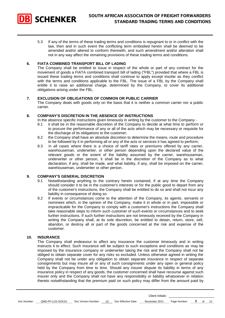

5.3 If any of the terms of these trading terms and conditions is repugnant to or in conflict with the law, then and in such event the conflicting term embodied herein shall be deemed to be amended and/or altered to conform therewith, and such amendment and/or alteration shall not in any way affect the remaining provisions of these trading terms and conditions.

#### **6. FlATA COMBINED TRANSPORT BILL OF LADING**

The Company shall be entitled to issue in respect of the whole or part of any contract for the movement of goods a FIATA combined transport bill of lading ("FBL") provided that where a FBL is issued these trading terms and conditions shall continue to apply except insofar as they conflict with the terms and conditions applicable to the FBL. The issue of a FBL by the Company shall entitle it to raise an additional charge, determined by the Company, to cover its additional obligations arising under the FBL.

#### **7. EXCLUSION OF OBLIGATIONS OF COMMON OR PUBLIC CARRIER**

The Company deals with goods only on the basis that it is neither a common carrier nor a public carrier.

#### **8. COMPANY'S DISCRETION IN THE ABSENCE OF INSTRUCTIONS**

In the absence specific instructions given timeously in writing by the customer to the Company -

- 8.1 it shall be in the reasonable discretion of the Company to decide at what time to perform or to procure the performance of any or all of the acts which may be necessary or requisite for the discharge of its obligations to the customer;
- 8.2 the Company shall have an absolute discretion to determine the means, route and procedure to be followed by it in performing all or any of the acts or services it has agreed to perform;
- 8.3 in all cases where there is a choice of tariff rates or premiums offered by any carrier, warehouseman, underwriter, or other person depending upon the declared value of the relevant goods or the extent of the liability assumed by the carrier, warehouseman, underwriter or other person, it shall be in the discretion of the Company as to what declaration, if any, shall be made, and what liability, if any, shall be imposed on the carrier, warehouseman, underwriter or other person.

#### **9. COMPANY'S GENERAL DISCRETION**

- 9.1 Notwithstanding anything to the contrary herein contained, if at any time the Company should consider it to be in the customer's interests or for the public good to depart from any of the customer's instructions, the Company shall be entitled to do so and shall not incur any liability in consequence of doing so.
- 9.2 If events or circumstances come to the attention of the Company, its agents, servants or nominees which, in the opinion of the Company, make it in whole or in part, impossible or impracticable for the Company to comply with a customer's instructions the Company shall take reasonable steps to inform such customer of such events or circumstances and to seek further instructions. If such further instructions are not timeously received by the Company in writing the Company shall, at its sole discretion, be entitled to detain, return, store, sell, abandon, or destroy all or part of the goods concerned at the risk and expense of the customer.

#### **10. INSURANCE**

The Company shall endeavour to affect any insurance the customer timeously and in writing instructs it to effect. Such insurance will be subject to such exceptions and conditions as may be imposed by the insurance company or underwriter taking the risk and the Company shall not be obliged to obtain separate cover for any risks so excluded. Unless otherwise agreed in writing the Company shall not be under any obligation to obtain separate insurance in respect of separate consignments but may insure all or any of such consignments under any open or general policy held by the Company from time to time. Should any insurer dispute its liability in terms of any insurance policy in respect of any goods, the customer concerned shall have recourse against such insurer only and the Company shall not have any responsibility or liability whatsoever in relation thereto notwithstanding that the premium paid on such policy may differ from the amount paid by

| Doc Number: | QMS-FP-LCG-DOC01 | Doc Version Number: 10 Doc Effective Date: |  | November 2015 | Page Number: 3 of 12 |  |  |
|-------------|------------------|--------------------------------------------|--|---------------|----------------------|--|--|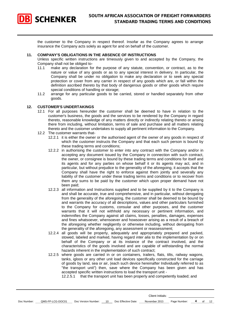

the customer to the Company in respect thereof. Insofar as the Company agrees to arrange insurance the Company acts solely as agent for and on behalf of the customer.

#### **11. COMPANY'S OBLIGATIONS IN THE ABSENCE OF INSTRUCTIONS**

Unless specific written instructions are timeously given to and accepted by the Company, the Company shall not be obliged to-

- 11.1 make any declaration for the purpose of any statute, convention, or contract, as to the nature or value of any goods or as to any special interest in delivery. In particular, the Company shall be under no obligation to make any declaration or to seek any special protection or cover from any carrier in respect of any goods which are, or fall within the definition ascribed thereto by that body of dangerous goods or other goods which require special conditions of handling or storage;
- 11.2 arrange for any particular goods to be carried, stored or handled separately from other goods.

#### **12. CUSTOMER'S UNDERTAKINGS**

- 12.1 For all purposes hereunder the customer shall be deemed to have in relation to the customer's business, the goods and the services to be rendered by the Company in regard thereto, reasonable knowledge of any matters directly or indirectly relating thereto or arising there from including, without limitation, terms of sale and purchase and all matters relating thereto and the customer undertakes to supply all pertinent information to the Company.
- 12.2 The customer warrants that-
	- 12.2.1 it is either the owner or the authorised agent of the owner of any goods in respect of which the customer instructs the Company and that each such person is bound by these trading terms and conditions;
	- 12.2.2 in authorising the customer to enter into any contract with the Company and/or in accepting any document issued by the Company in connection with such contract, the owner, or consignee is bound by these trading terms and conditions for itself and its agents and for any parties on whose behalf it or its agents may act, and in particular, but without prejudice to the generality of the aforegoing, it accepts that the Company shall have the right to enforce against them jointly and severally any liability of the customer under these trading terms and conditions or to recover from them any sums to be paid by the customer which upon proper demand have not been paid;
	- 12.2.3 all information and Instructions supplied and to be supplied by it to the Company is and shall be accurate, true and comprehensive, and in particular, without derogating from the generality of the aforegoing, the customer shall be deemed to be bound by and warrants the accuracy of all descriptions, values and other particulars furnished to the Company for customs, consular and other purposes, and the customer warrants that it will not withhold any necessary or pertinent information, and indemnifies the Company against all claims, losses, penalties, damages, expenses and fines whatsoever, whensoever and howsoever arising as a result of a breach of the aforegoing whether negligently or otherwise including, without derogating from the generality of the aforegoing, any assessment or reassessment;
	- 12.2.4 all goods will be properly, adequately and appropriately prepared and packed, stowed, labeled and marked, having regard *inter alia* to the implementation by or on behalf of the Company or at its instance of the contract involved, and the characteristics of the goods involved and are capable of withstanding the normal hazards inherent in the implementation of such contract;
	- 12.2.5 where goods are carried in or on containers, trailers, flats, tilts, railway wagons, tanks, igloos or any other unit load devices specifically constructed for the carriage of goods by land, sea or air, (each such device hereinafter Individually referred to as "the transport unit") then, save where the Company has been given and has accepted specific written instructions to load the transport unit -

12.2.5.1 that the transport unit has been properly and competently loaded; and

| Doc Number: | QMS-FP-LCG-DOC01 | Doc Version Number: | 10 | Effective Date:<br>Doc. | 201F<br>November | Page Number: |  | $\sim$ $\sim$ |
|-------------|------------------|---------------------|----|-------------------------|------------------|--------------|--|---------------|
|             |                  |                     |    |                         |                  |              |  |               |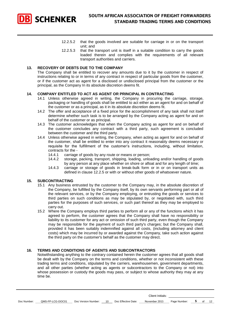

- 12.2.5.2 that the goods involved are suitable for carriage in or on the transport unit; and
- 12.2.5.3 that the transport unit is itself in a suitable condition to carry the goods loaded therein and complies with the requirements of all relevant transport authorities and carriers.

#### **13. RECOVERY OF DEBTS DUE TO THE COMPANY**

The Company shall be entitled to recover any amounts due to it by the customer in respect of instructions relating to or in terms of any contract in respect of particular goods from the customer, or if the customer act as agent for a disclosed or undisclosed principal from the customer or the principal, as the Company In its absolute discretion deems fit.

#### **14. COMPANY ENTITLED TO ACT AS AGENT OR PRINCIPAL IN CONTRACTING**

- 14.1 Unless otherwise agreed in writing, the Company in procuring the carriage, storage, packaging or handling of goods shall be entitled to act either as an agent for and on behalf of the customer or as a principal, as it in its absolute discretion deems fit.
- 14.2 The offer and acceptance of a fixed price for the accomplishment of any task shall not itself determine whether such task is to be arranged by the Company acting as agent for and on behalf of the customer or as principal.
- 14.3 The customer acknowledges that when the Company acting as agent for and on behalf of the customer concludes any contract with a third party, such agreement is concluded between the customer and the third party.
- 14.4 Unless otherwise agreed in writing, the Company, when acting as agent for and on behalf of the customer, shall be entitled to enter into any contract it reasonably deems necessary or requisite for the fulfillment of the customer's instructions, including, without limitation, contracts for the -<br>14.4.1 carriage
	- carriage of goods by any route or means or person;
	- 14.4.2 storage, packing, transport, shipping, loading, unloading and/or handling of goods by any person at any place whether on shore or afloat and for any length of time;
	- 14.4.3 carriage or storage of goods in break-bulk form or in or on transport units as defined in clause 12.2.5 or with or without other goods of whatsoever nature.

#### **15. SUBCONTRACTING**

- 15.1 Any business entrusted by the customer to the Company may, in the absolute discretion of the Company, be fulfilled by the Company itself, by its own servants performing part or all of the relevant services, or by the Company employing, or entrusting the goods or services to third parties on such conditions as may be stipulated by, or negotiated with, such third parties for the purposes of such services, or such part thereof as they may be employed to carry out.
- 15.2 Where the Company employs third parties to perform all or any of the functions which it has agreed to perform, the customer agrees that the Company shall have no responsibility or liability to its customer for any act or omission of such third party, even though the Company may be responsible for the payment of such third party's charges; but the Company shall, provided it has been suitably indemnified against all costs, (including attorney and client costs) which may be incurred by or awarded against the Company, take such action against the third party on the customer's behalf as the customer may direct.

#### **16. TERMS AND CONDITIONS OF AGENTS AND SUBCONTRACTORS**

Notwithstanding anything to the contrary contained herein the customer agrees that all goods shall be dealt with by the Company on the terms and conditions, whether or not inconsistent with these trading terms and conditions, stipulated by the carriers, warehousemen, government departments, and all other parties (whether acting as agents or subcontractors to the Company or not) into whose possession or custody the goods may pass, or subject to whose authority they may at any time be.

| Doc Number: | QMS-FP-LCG-DOC01 | Doc Version Number: 10 | Doc Effective Date: | November 2015 | Page Number: 5 of 12 |  |  |
|-------------|------------------|------------------------|---------------------|---------------|----------------------|--|--|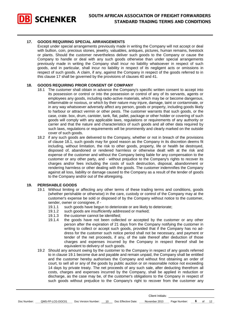

#### **17. GOODS REQUIRING SPECIAL ARRANGEMENTS**

Except under special arrangements previously made in writing the Company will not accept or deal with bullion, coin, precious stones, jewelry, valuables, antiques, pictures, human remains, livestock or plants. Should the customer nevertheless deliver such goods to the Company or cause the Company to handle or deal with any such goods otherwise than under special arrangements previously made in writing the Company shall incur no liability whatsoever in respect of such goods, and in particular, shall incur no liability in respect of its negligent acts or omissions in respect of such goods. A claim, if any, against the Company in respect of the goods referred to in this clause 17 shall be governed by the provisions of clauses 40 and 41.

#### **18. GOODS REQUIRING PRIOR CONSENT OF COMPANY**

- 18.1 The customer shall obtain in advance the Company's specific written consent to accept into its possession or control or into the possession or control of any of its servants, agents or employees any goods, including radio-active materials, which may be or become dangerous, inflammable or noxious, or which by their nature may injure, damage, taint or contaminate, or in any way whatsoever adversely affect any person, goods or property, including goods likely to harbour or attract vermin or other pests. The customer warrants that such goods, or the case, crate. box, drum, canister, tank, flat, pallet, package or other holder or covering of such goods will comply with any applicable laws, regulations or requirements of any authority or carrier and that the nature and characteristics of such goods and all other data required by such laws, regulations or requirements will be prominently and clearly marked on the outside cover of such goods.
- 18.2 if any such goods are delivered to the Company, whether or not in breach of the provisions of clause 18.1, such goods may for good reason as the Company in its discretion deems fit including, without limitation, the risk to other goods, property, life or health be destroyed, disposed of, abandoned or rendered harmless or otherwise dealt with at the risk and expense of the customer and without the Company being liable for any compensation to the customer or any other party, and - without prejudice to the Company's rights to recover its charges and/or fees including the costs of such destruction, disposal, abandonment or rendering harmless or other dealing with the goods. The customer indemnifies the Company against all loss, liability or damage caused to the Company as a result of the tender of goods to the Company and/or out of the aforegoing.

#### **19. PERISHABLE GOODS**

- 19.1 Without limiting or affecting any other terms of these trading terms and conditions, goods (whether perishable or otherwise) in the care, custody or control of the Company may at the customer's expense be sold or disposed of by the Company without notice to the customer, sender, owner or consignee, if -
	- 19.1.1 such goods have begun to deteriorate or are likely to deteriorate;
	- 19.1.2 such goods are insufficiently addressed or marked;
	- 19.1.3 the customer cannot be identified;
	- 19.1.4 the goods have not been collected or accepted by the customer or any other person after the expiration of 21 days from the Company notifying the customer in writing to collect or accept such goods, provided that if the Company has no address for the customer such notice period shall not be necessary, and payment or tender of the net proceeds, if any, of the sale thereof after deduction of those charges and expenses incurred by the Company in respect thereof shall be equivalent to delivery of such goods.
- 19.2 Should any amount owing by the customer to the Company in respect of any goods referred to in clause 19.1 become due and payable and remain unpaid, the Company shall be entitled and the customer hereby authorises the Company and without first obtaining an order of court, to sell all or any of the goods by public auction or on reasonable notice not exceeding 14 days by private treaty. The net proceeds of any such sale, after deducting therefrom all costs, charges and expenses incurred by the Company, shall be applied in reduction or discharge, as the case may be, of the customer's obligations to the Company in respect of such goods without prejudice to the Company's right to recover from the customer any

|             |                  |                     |    |                     | Client Initials: |              |    |    |
|-------------|------------------|---------------------|----|---------------------|------------------|--------------|----|----|
| Doc Number: | QMS-FP-LCG-DOC01 | Doc Version Number: | 10 | Doc Effective Date: | November 2015    | Page Number: | of | 12 |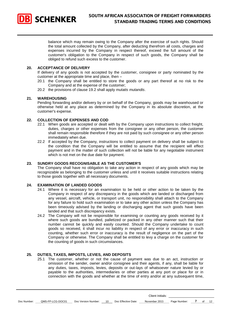

balance which may remain owing to the Company after the exercise of such rights. Should the total amount collected by the Company, after deducting therefrom all costs, charges and expenses incurred by the Company in respect thereof, exceed the full amount of the customer's obligation to the Company in respect of such goods, the Company shall be obliged to refund such excess to the customer.

#### **20. ACCEPTANCE OF DELIVERY**

If delivery of any goods is not accepted by the customer, consignee or party nominated by the customer at the appropriate time and place, then –

- 20.1 the Company shall be entitled to store the goods or any part thereof at no risk to the Company and at the expense of the customer;
- 20.2 the provisions of clause 19.2 shall apply *mutatis mutandis*.

#### **21. WAREHOUSING**

Pending forwarding and/or delivery by or on behalf of the Company, goods may be warehoused or otherwise held at any place as determined by the Company in its absolute discretion, at the customer's expense.

#### **22. COLLECTION OF EXPENSES AND COD**

- 22.1 When goods are accepted or dealt with by the Company upon instructions to collect freight, duties, charges or other expenses from the consignee or any other person, the customer shall remain responsible therefore if they are not paid by such consignee or any other person immediately when due.
- 22.2 If accepted by the Company, instructions to collect payment on delivery shall be subject to the condition that the Company will be entitled to assume that the recipient will effect payment and in the matter of such collection will not be liable for any negotiable instrument which is not met on the due date for payment.

#### **23. SUNDRY GOODS RECOGNISABLE AS THE CUSTOMER'S**

The Company shall have no obligation to take any action in respect of any goods which may be recognizable as belonging to the customer unless and until it receives suitable instructions relating to those goods together with all necessary documents.

#### **24. EXAMINATION OF LANDED GOODS**

- 24.1 Where it is necessary for an examination to be held or other action to be taken by the Company in respect of any discrepancy in the goods which are landed or discharged from any vessel, aircraft, vehicle, or transport unit, no responsibility shall attach to the Company for any failure to hold such examination or to take any other action unless the Company has been timeously advised by the landing or discharging agent that such goods have been landed and that such discrepancy exists.
- 24.2 The Company will not be responsible for examining or counting any goods received by it where such goods are bundled, palletized or packed in any other manner such that their number cannot be quickly and easily counted. Should the Company undertake to count goods so received, it shall incur no liability in respect of any error or inaccuracy in such counting, whether such error or inaccuracy is the result of negligence on the part of the Company or otherwise. The Company shall be entitled to levy a charge on the customer for the counting of goods in such circumstances.

#### **25. DUTIES, TAXES, IMPOSTS, LEVIES, AND DEPOSITS**

25.1 The customer, whether or not the cause of payment was due to an act, instruction or omission of the sender, owner and/or consignee and their agents, if any, shall be liable for any duties, taxes, imposts, levies, deposits or out-lays of whatsoever nature levied by or payable to the authorities, intermediaries or other parties at any port or place for or in connection with the goods and whether at the time of entry and/or at any subsequent time,

| Doc Number: | QMS-FP-LCG-DOC01 | Doc Version Number: | Doc Effective Date: | November 2015 | Page Number: |  | ١۷ |
|-------------|------------------|---------------------|---------------------|---------------|--------------|--|----|
|             |                  |                     |                     |               |              |  |    |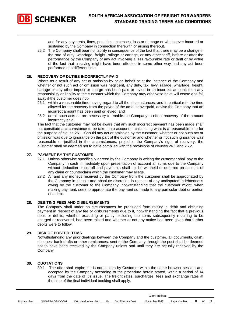

and for any payments, fines, penalties, expenses, loss or damage or whatsoever incurred or sustained by the Company in connection therewith or arising thereout.

25.2 The Company shall bear no liability in consequence of the fact that there may be a change in the rate of duty, wharfage, freight, railage or cartage, or any other tariff, before or after the performance by the Company of any act involving a less favourable rate or tariff or by virtue of the fact that a saving might have been effected in some other way had any act been performed at a different time.

#### **26. RECOVERY OF DUTIES INCORRECTLY PAID**

Where as a result of any act or omission by or on behalf or at the instance of the Company and whether or not such act or omission was negligent, any duty, tax, levy, railage, wharfage, freight, cartage or any other impost or charge has been paid or levied in an incorrect amount, then any responsibility or liability to the customer which the Company may otherwise have will cease and fall away if the customer does not-

- 26.1 within a reasonable time having regard to all the circumstances, and in particular to the time allowed for the recovery from the payee of the amount overpaid, advise the Company that an incorrect amount has been paid or levied, and
- 26.2 do all such acts as are necessary to enable the Company to effect recovery of the amount incorrectly paid.

The fact that the customer may not be aware that any such incorrect payment has been made shall not constitute a circumstance to be taken into account in calculating what is a reasonable time for the purpose of clause 26.1. Should any act or omission by the customer, whether or not such act or omission was due to ignorance on the part of the customer and whether or not such ignorance was reasonable or justified in the circumstances, prejudice the Company's right of recovery, the customer shall be deemed not to have complied with the provisions of clauses 26.1 and 26.2.

#### **27. PAYMENT BY THE CUSTOMER**

- 27.1 Unless otherwise specifically agreed by the Company in writing the customer shall pay to the Company in cash immediately upon presentation of account all sums due to the Company without deduction or set-off and payments shall not be withheld or deferred on account of any claim or counterclaim which the customer may allege.
- 27.2 All and any moneys received by the Company from the customer shall be appropriated by the Company in its sole and absolute discretion in respect of any undisputed indebtedness owing by the customer to the Company, notwithstanding that the customer might, when making payment, seek to appropriate the payment so made to any particular debt or portion of a debt.

#### **28. DEBITING FEES AND DISBURSEMENTS**

The Company shall under no circumstances be precluded from raising a debit and obtaining payment in respect of any fee or disbursements due to it, notwithstanding the fact that a previous debit or debits, whether excluding or partly excluding the items subsequently requiring to be charged or recovered, had been raised and whether or not any notice had been given that further debits were to follow.

#### **29. RISK OF POSTED ITEMS**

Notwithstanding any prior dealings between the Company and the customer, all documents, cash, cheques, bank drafts or other remittances, sent to the Company through the post shall be deemed not to have been received by the Company unless and until they are actually received by the Company.

#### **30. QUOTATIONS**

30.1 The offer shall expire if it is not chosen by Customer within the same browser session and accepted by the Company according to the procedure herein stated, within a period of 14 days from the date of it's issue. The freight rates, surcharges, fees and exchange rates at the time of the final individual booking shall apply.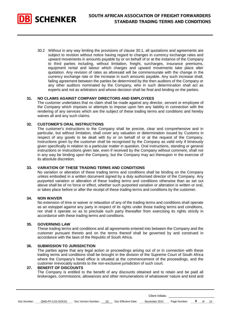

30.2 Without in any way limiting the provisions of clause 30.1, all quotations and agreements are subject to revision without notice having regard to changes in currency exchange rates and upward movements in amounts payable by or on behalf of or at the instance of the Company to third parties including, without limitation, freight, surcharges, insurance premiums, equipment rental and labour which charges and upward movements take place alter quotation. Any revision of rates as aforesaid will be commensurate with the change in the currency exchange rate or the increase in such amounts payable. Any such increase shall, failing agreement between the parties be determined by the then auditors of the Company or any other auditors nominated by the Company, who in such determination shall act as experts and not as arbitrators and whose decision shall be final and binding on the parties.

#### **31. NO CLAIMS AGAINST COMPANY DIRECTORS AND EMPLOYEES**

The customer undertakes that no claim shall be made against any director, servant or employee of the Company which imposes or attempts to impose upon him any liability in connection with the rendering of any services which are the subject of these trading terms and conditions and hereby waives all and any such claims.

#### **32. CUSTOMER'S ORAL INSTRUCTIONS**

The customer's instructions to the Company shall be precise, clear and comprehensive and in particular, but without limitation, shall cover any valuation or determination issued by Customs in respect of any goods to be dealt with by or on behalf of or at the request of the Company. Instructions given by the customer shall be recognised by the Company as valid only if timeously given specifically in relation to a particular matter in question. Oral instructions, standing or general instructions or instructions given late, even if received by the Company without comment, shall not in any way be binding upon the Company, but the Company may act thereupon in the exercise of its absolute discretion.

#### **33. VARIATION OF THESE TRADING TERMS AND CONDITIONS**

No variation or alteration of these trading terms and conditions shall be binding on the Company unless embodied in a written document signed by a duly authorised director of the Company. Any purported variation or alteration of these trading terms and conditions otherwise than as set out above shall be of no force or effect, whether such purported variation or alteration is written or oral, or takes place before or after the receipt of these trading terms and conditions by the customer.

#### **34. NON WAIVER**

No extension of time or waiver or relaxation of any of the trading terms and conditions shall operate as an estoppel against any party in respect of its rights under those trading terms and conditions, nor shall it operate so as to preclude such party thereafter from exercising its rights strictly in accordance with these trading terms and conditions.

#### **35. GOVERNING LAW**

These trading terms and conditions and all agreements entered into between the Company and the customer pursuant thereto and on the terms thereof shall be governed by and construed in accordance with the laws of the Republic of South Africa.

#### **36. SUBMISSION TO JURISDICTION**

The parties agree that any legal action or proceedings arising out of or in connection with these trading terms and conditions shall be brought in the division of the Supreme Court of South Africa where the Company's head office is situated at the commencement of the proceedings, and the customer irrevocably submits to the non-exclusive jurisdiction of such court.

#### **37. BENEFIT OF DISCOUNTS**

The Company is entitled to the benefit of any discounts obtained and to retain and be paid all brokerages, commissions, allowances and other remunerations of whatsoever nature and kind and

|  | Doc Number: | QMS-FP-LCG-DOC01 | Doc Version Number: |  | 10 Doc Effective Date: | November 2015 | Page Number: |  |  | $\overline{a}$ |
|--|-------------|------------------|---------------------|--|------------------------|---------------|--------------|--|--|----------------|
|--|-------------|------------------|---------------------|--|------------------------|---------------|--------------|--|--|----------------|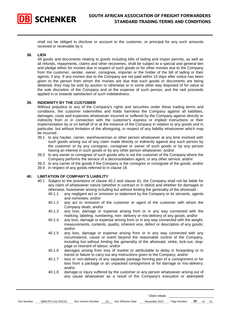

shall not be obliged to disclose or account to the customer, or principal for any such amounts received or receivable by it.

#### **38. LIEN**

All goods and documents relating to goods including bills of Iading and import permits, as well as all refunds, repayments, claims and other recoveries, shall be subject to a special and general lien and pledge either for monies due in respect of such goods or for other monies due to the Company from the customer, sender, owner, consignee, importer or the holder of the bill of lading or their agents, if any. If any monies due to the Company are not paid within 14 days after notice has been given to the person from whom the monies are due that such goods or documents are being detained, they may be sold by auction or otherwise or in some other way disposed of for value at the sole discretion of the Company and at the expense of such person, and the nett proceeds applied in or towards satisfaction of such indebtedness.

#### **39. INDEMNITY BY THE CUSTOMER**

Without prejudice to any of the Company's rights and securities under these trading terms and conditions, the customer indemnifies and holds harmless the Company against all liabilities, damages, costs and expenses whatsoever incurred or suffered by the Company against directly or indirectly from or in connection with the customer's express or implied instructions or their implementation by or on behalf of or at the instance of the Company in relation to any goods and in particular, but without limitation of the aforegoing, in respect of any liability whatsoever which may be incurred -

- 39.1 to any haulier, carrier, warehouseman or other person whatsoever at any time involved with such goods arising out of any claim made directly or indirectly against any such person by the customer or by any consignor, consignee or owner of such goods or by any person having an interest in such goods or by any other person whatsoever; and/or
- 39.2 to any owner or consignee of such goods who is not the customer of the Company where the Company performs the service of a deconsolidation agent, or any other service; and/or
- 39.3 to any carrier of the goods if the Company is the consignor or consignee of the goods; and/or
- 39.4 in respect of any goods referred to in clause 18.

#### **40. LIMITATION OF COMPANY'S LIABILITY**

- 40.1 Subject to the provisions of clause 40.2 and clause 41, the Company shall not be liable for any claim of whatsoever nature (whether in contract or in delict) and whether for damages or otherwise, howsoever arising including but without limiting the generality of the aforesaid -
	- 40.1.1 any negligent act or omission or statement by the Company or its servants, agents and nominees; and/or
	- 40.1.2 any act or omission of the customer or agent of the customer with whom the Company deals; and/or
	- 40.1.3 any loss, damage or expense arising from or in any way connected with the marking, labeling, numbering, non- delivery or mis-delivery of any goods; and/or
	- 40.1.4 any loss, damage or expense arising from or in any way connected with the weight, measurements, contents, quality, inherent vice, defect or description of any goods; and/or
	- 40.1.5 any loss, damage or expense arising from or in any way connected with any circumstance, cause or event beyond the reasonable control of the Company, including but without limiting the generality of the aforesaid, strike, lock-out, stoppage or restraint of labour; and/or
	- 40.1.6 damages arising from loss of market or attributable to delay in forwarding or in transit or failure to carry out any instructions given to the Company; and/or
	- 40.1.7 loss or non-delivery of any separate package forming part of a consignment or for loss from a package or an unpacked consignment or for damage or mis-delivery; and/or
	- 40.1.8 damage or injury suffered by the customer or any person whatsoever arising out of any cause whatsoever as a result of the Company's execution or attempted

Client Initials:

Doc Number: QMS-FP-LCG-DOC01 Doc Version Number: 10 Doc Effective Date: November 2015 Page Number: **10** of 12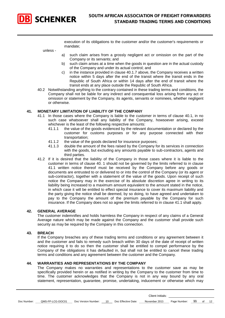

execution of its obligations to the customer and/or the customer's requirements or mandate;

unless -

- a) such claim arises from a grossly negligent act or omission on the part of the Company or its servants; and
- b) such claim arises at a time when the goods in question are in the actual custody of the Company and under its actual control; and
- c) in the instance provided in clause 40.1.7 above, the Company receives a written notice within 5 days after the end of the transit where the transit ends in the Republic of South Africa or within 14 days after the end of transit where the transit ends at any place outside the Republic of South Africa.
- 40.2 Notwithstanding anything to the contrary contained in these trading terms and conditions, the Company shall not be liable for any indirect and consequential loss arising from any act or omission or statement by the Company, its agents, servants or nominees, whether negligent or otherwise.

#### **41. MONETARY LIMITATION OF LIABILITY OF THE COMPANY**

- 41.1 In those cases where the Company is liable to the customer in terms of clause 40.1, in no such case whatsoever shall any liability of the Company, howsoever arising, exceed whichever is the least of the following respective amounts:<br>41.1.1 the value of the goods evidenced by the relevant
	- the value of the goods evidenced by the relevant documentation or declared by the customer for customs purposes or for any purpose connected with their transportation;
	- 41.1.2 the value of the goods declared for insurance purposes;
	- 41.1.3 double the amount of the fees raised by the Company for its services in connection with the goods, but excluding any amounts payable to sub-contractors, agents and third parties.
- 41.2 If it is desired that the liability of the Company in those cases where it is liable to the customer in terms of clause 40. 1 should not be governed by the limits referred to in clause 41.1 written notice thereof must be received by the Company before any goods or documents are entrusted to or delivered to or into the control of the Company (or its agent or sub-contractor), together with a statement of the value of the goods. Upon receipt of such notice the Company may in the exercise of its absolute discretion agree in writing to its liability being increased to a maximum amount equivalent to the amount stated in the notice, in which case it will be entitled to effect special insurance to cover its maximum liability and the party giving the notice shall be deemed, by so doing, to have agreed and undertaken to pay to the Company the amount of the premium payable by the Company for such insurance. If the Company does not so agree the limits referred to in clause 41.1 shall apply.

#### **42. GENERAL AVERAGE**

The customer indemnifies and holds harmless the Company in respect of any claims of a General Average nature which may be made against the Company and the customer shall provide such security as may be required by the Company in this connection.

#### **43. BREACH**

If the Company breaches any of these trading terms and conditions or any agreement between it and the customer and fails to remedy such breach within 30 days of the date of receipt of written notice requiring it to do so then the customer shall be entitled to compel performance by the Company of the obligations it has defaulted in, but shall not be entitled to cancel these trading terms and conditions and any agreement between the customer and the Company.

#### **44. WARRANTlES AND REPRESENTATIONS BY THE COMPANY**

The Company makes no warranties and representations to the customer save as may be specifically provided herein or as notified in writing by the Company to the customer from time to time. The customer acknowledges that the Company is not in any way bound by any oral statement, representation, guarantee, promise, undertaking, inducement or otherwise which may

Client Initials:

Doc Number: <u>QMS-FP-LCG-DOC01</u> Doc Version Number: 10 Doc Effective Date: November 2015 Page Number: 11 of 12